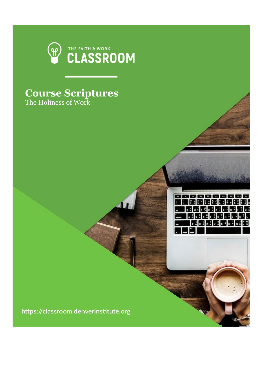

## **Course Scriptures** The Holiness of Work

https://classroom.denverinstitute.org

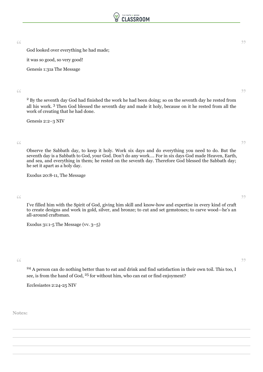

 $\bullet$  God looked over everything he had made;  $\bullet$ 

it was so good, so very good!

Genesis 1:31a The Message

 $^\circ$  By the seventh day God had finished the work he had been doing; so on the seventh day he rested from  $^\circ$ all his work. <sup>3</sup> Then God blessed the seventh day and made it holy, because on it he rested from all the work of creating that he had done.

Genesis 2:2–3 NIV

Observe the Sabbath day, to keep it holy. Work six days and do everything you need to do. But the " " seventh day is a Sabbath to God, your God. Don't do any work…. For in six days God made Heaven, Earth, and sea, and everything in them; he rested on the seventh day. Therefore God blessed the Sabbath day; he set it apart as a holy day.

Exodus 20:8-11, The Message

I've filled him with the Spirit of God, giving him skill and know-how and expertise in every kind of craft<br>I've filled him with the Spirit of God, giving him skill and know-how and expertise in every kind of craft to create designs and work in gold, silver, and bronze; to cut and set gemstones; to carve wood—he's an all-around craftsman.

Exodus  $31:1-5$  The Message (vv.  $3-5$ )

 $\frac{24}{1}$  A person can do nothing better than to eat and drink and find satisfaction in their own toil. This too, I see, is from the hand of God, <sup>25</sup> for without him, who can eat or find enjoyment?

Ecclesiastes 2:24-25 NIV

**Notes:**